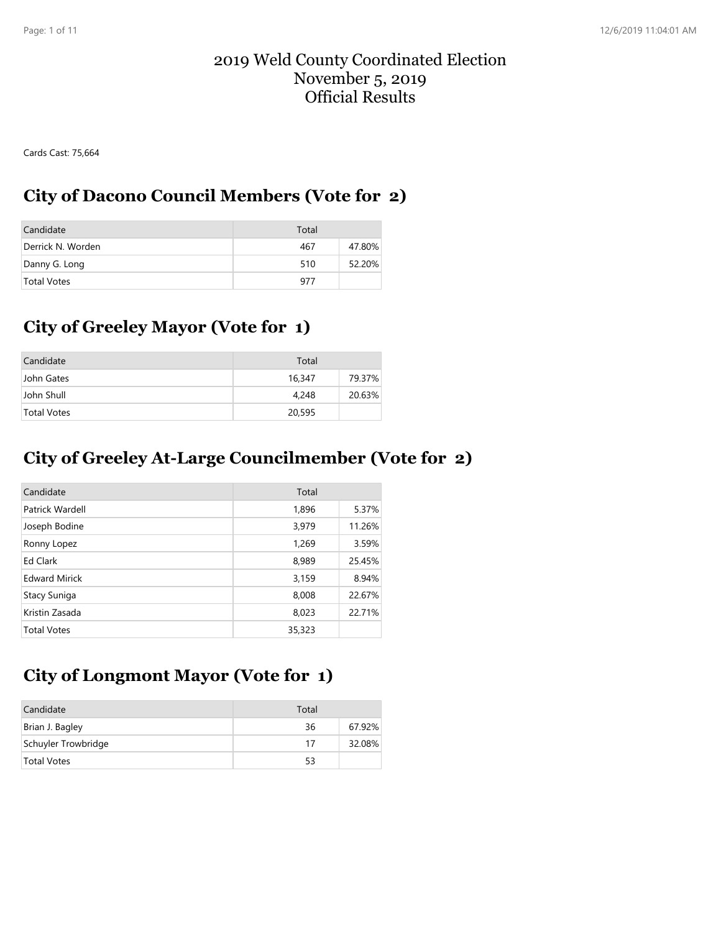#### 2019 Weld County Coordinated Election November 5, 2019 Official Results

Cards Cast: 75,664

### **City of Dacono Council Members (Vote for 2)**

| Candidate          | Total |        |
|--------------------|-------|--------|
| Derrick N. Worden  | 467   | 47.80% |
| Danny G. Long      | 510   | 52.20% |
| <b>Total Votes</b> | 977   |        |

# **City of Greeley Mayor (Vote for 1)**

| Candidate   | Total  |        |
|-------------|--------|--------|
| John Gates  | 16,347 | 79.37% |
| John Shull  | 4,248  | 20.63% |
| Total Votes | 20,595 |        |

### **City of Greeley At-Large Councilmember (Vote for 2)**

| Candidate            | Total  |        |
|----------------------|--------|--------|
| Patrick Wardell      | 1,896  | 5.37%  |
| Joseph Bodine        | 3,979  | 11.26% |
| Ronny Lopez          | 1,269  | 3.59%  |
| Ed Clark             | 8,989  | 25.45% |
| <b>Edward Mirick</b> | 3,159  | 8.94%  |
| Stacy Suniga         | 8,008  | 22.67% |
| Kristin Zasada       | 8,023  | 22.71% |
| <b>Total Votes</b>   | 35,323 |        |

# **City of Longmont Mayor (Vote for 1)**

| Candidate           | Total |        |
|---------------------|-------|--------|
| Brian J. Bagley     | 36    | 67.92% |
| Schuyler Trowbridge | 17    | 32.08% |
| <b>Total Votes</b>  | 53    |        |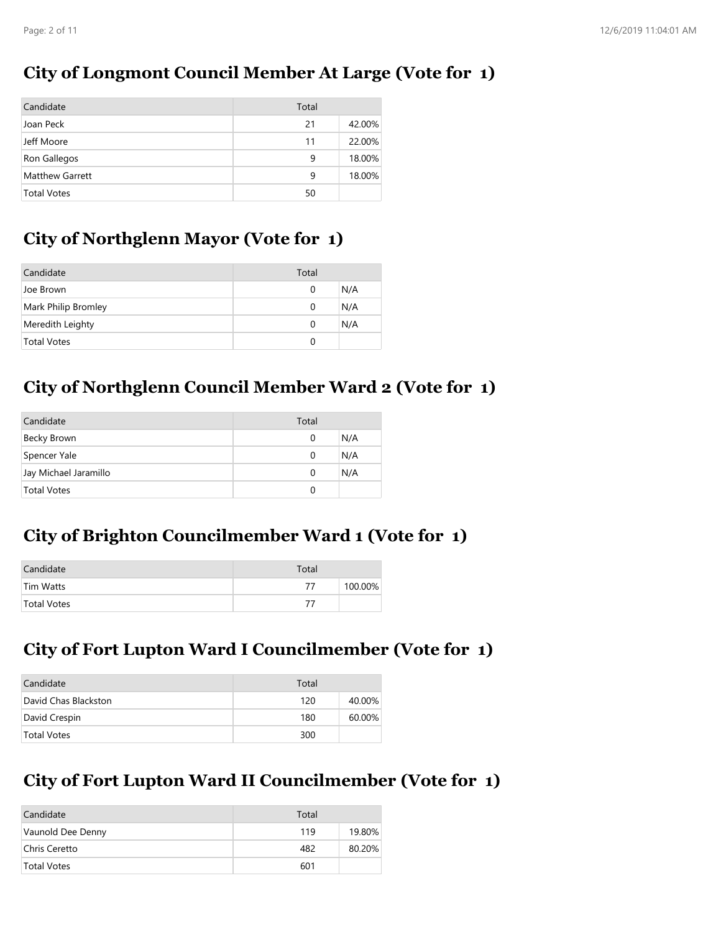## **City of Longmont Council Member At Large (Vote for 1)**

| Candidate              | Total |        |
|------------------------|-------|--------|
| Joan Peck              | 21    | 42.00% |
| Jeff Moore             | 11    | 22.00% |
| Ron Gallegos           | 9     | 18.00% |
| <b>Matthew Garrett</b> | 9     | 18.00% |
| <b>Total Votes</b>     | 50    |        |

## **City of Northglenn Mayor (Vote for 1)**

| Candidate           | Total |     |
|---------------------|-------|-----|
| Joe Brown           | 0     | N/A |
| Mark Philip Bromley | 0     | N/A |
| Meredith Leighty    | 0     | N/A |
| <b>Total Votes</b>  |       |     |

# **City of Northglenn Council Member Ward 2 (Vote for 1)**

| Candidate             | Total |     |
|-----------------------|-------|-----|
| Becky Brown           | O     | N/A |
| Spencer Yale          | O     | N/A |
| Jay Michael Jaramillo | O     | N/A |
| <b>Total Votes</b>    |       |     |

## **City of Brighton Councilmember Ward 1 (Vote for 1)**

| Candidate   | Total |         |
|-------------|-------|---------|
| Tim Watts   | 77    | 100.00% |
| Total Votes | 77    |         |

## **City of Fort Lupton Ward I Councilmember (Vote for 1)**

| Candidate            | Total |        |
|----------------------|-------|--------|
| David Chas Blackston | 120   | 40.00% |
| David Crespin        | 180   | 60.00% |
| <b>Total Votes</b>   | 300   |        |

# **City of Fort Lupton Ward II Councilmember (Vote for 1)**

| Candidate          | Total |        |
|--------------------|-------|--------|
| Vaunold Dee Denny  | 119   | 19.80% |
| Chris Ceretto      | 482   | 80.20% |
| <b>Total Votes</b> | 601   |        |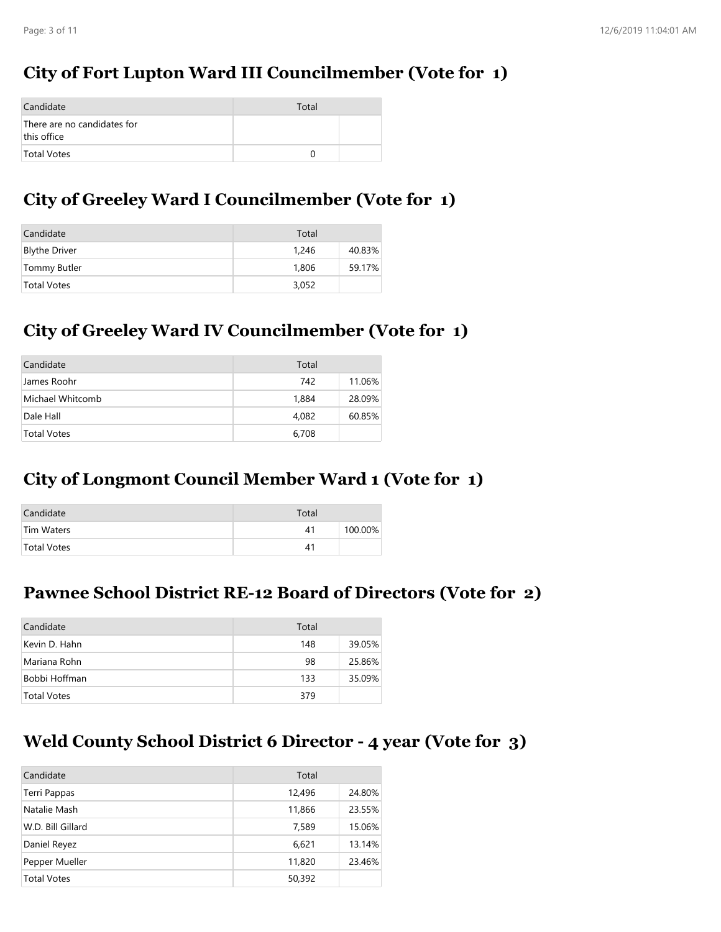# **City of Fort Lupton Ward III Councilmember (Vote for 1)**

| Candidate                                  | Total            |  |
|--------------------------------------------|------------------|--|
| There are no candidates for<br>this office |                  |  |
| Total Votes                                | $\left( \right)$ |  |

## **City of Greeley Ward I Councilmember (Vote for 1)**

| Candidate            | Total |        |
|----------------------|-------|--------|
| <b>Blythe Driver</b> | 1,246 | 40.83% |
| Tommy Butler         | 1.806 | 59.17% |
| Total Votes          | 3.052 |        |

## **City of Greeley Ward IV Councilmember (Vote for 1)**

| Candidate          | Total |        |
|--------------------|-------|--------|
| James Roohr        | 742   | 11.06% |
| Michael Whitcomb   | 1,884 | 28.09% |
| Dale Hall          | 4.082 | 60.85% |
| <b>Total Votes</b> | 6,708 |        |

## **City of Longmont Council Member Ward 1 (Vote for 1)**

| Candidate          | Total |         |
|--------------------|-------|---------|
| Tim Waters         | 41    | 100.00% |
| <b>Total Votes</b> | 41    |         |

#### **Pawnee School District RE-12 Board of Directors (Vote for 2)**

| Candidate          | Total |        |
|--------------------|-------|--------|
| Kevin D. Hahn      | 148   | 39.05% |
| Mariana Rohn       | 98    | 25.86% |
| Bobbi Hoffman      | 133   | 35.09% |
| <b>Total Votes</b> | 379   |        |

### **Weld County School District 6 Director - 4 year (Vote for 3)**

| Candidate          | Total  |        |
|--------------------|--------|--------|
| Terri Pappas       | 12,496 | 24.80% |
| Natalie Mash       | 11,866 | 23.55% |
| W.D. Bill Gillard  | 7,589  | 15.06% |
| Daniel Reyez       | 6,621  | 13.14% |
| Pepper Mueller     | 11,820 | 23.46% |
| <b>Total Votes</b> | 50,392 |        |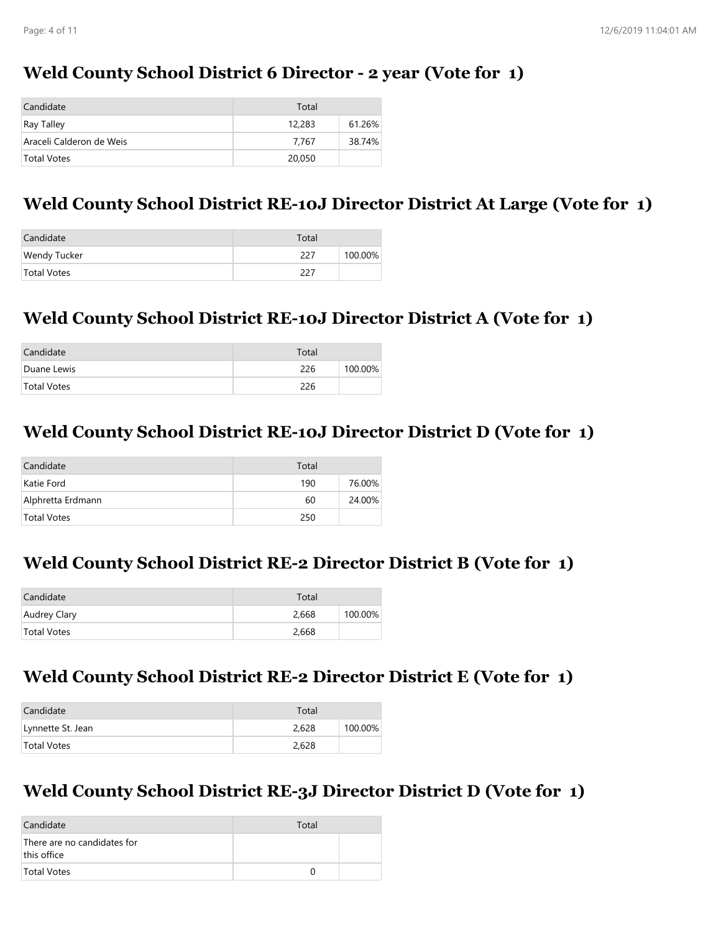## **Weld County School District 6 Director - 2 year (Vote for 1)**

| Candidate                | Total  |        |
|--------------------------|--------|--------|
| Ray Talley               | 12,283 | 61.26% |
| Araceli Calderon de Weis | 7.767  | 38.74% |
| Total Votes              | 20,050 |        |

## **Weld County School District RE-10J Director District At Large (Vote for 1)**

| Candidate           | Total |         |
|---------------------|-------|---------|
| <b>Wendy Tucker</b> | 227   | 100.00% |
| Total Votes         | 227   |         |

### **Weld County School District RE-10J Director District A (Vote for 1)**

| Candidate   | Total |         |
|-------------|-------|---------|
| Duane Lewis | 226   | 100.00% |
| Total Votes | 226   |         |

### **Weld County School District RE-10J Director District D (Vote for 1)**

| Candidate         | Total |        |
|-------------------|-------|--------|
| Katie Ford        | 190   | 76.00% |
| Alphretta Erdmann | 60    | 24.00% |
| Total Votes       | 250   |        |

#### **Weld County School District RE-2 Director District B (Vote for 1)**

| Candidate    | Total |         |
|--------------|-------|---------|
| Audrey Clary | 2.668 | 100.00% |
| Total Votes  | 2,668 |         |

### **Weld County School District RE-2 Director District E (Vote for 1)**

| Candidate         | Total |         |
|-------------------|-------|---------|
| Lynnette St. Jean | 2.628 | 100.00% |
| Total Votes       | 2,628 |         |

## **Weld County School District RE-3J Director District D (Vote for 1)**

| Candidate                                  | Total |  |
|--------------------------------------------|-------|--|
| There are no candidates for<br>this office |       |  |
| Total Votes                                |       |  |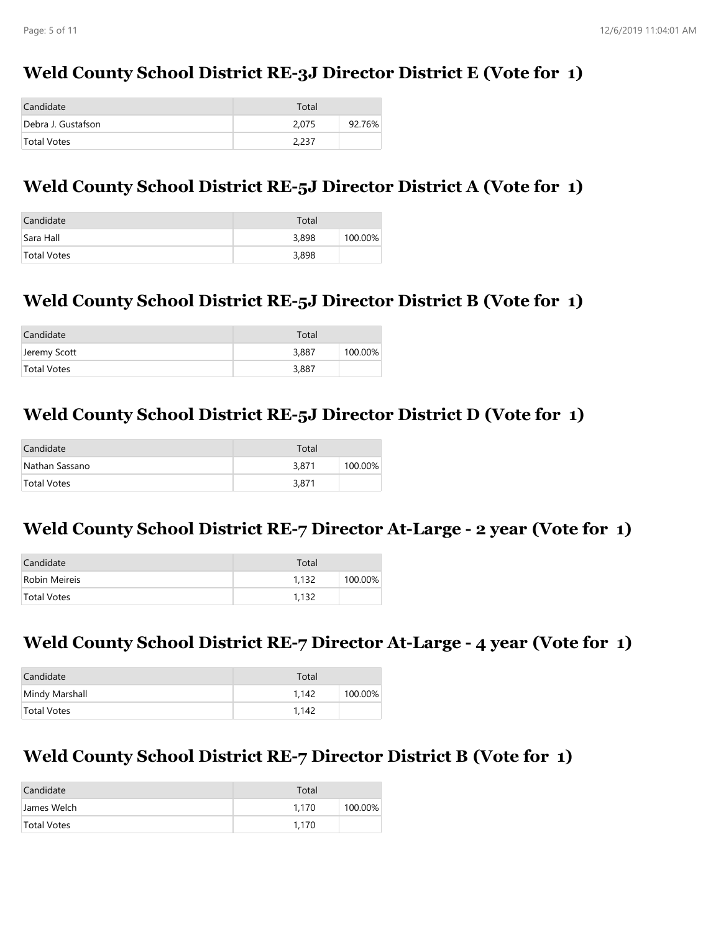## **Weld County School District RE-3J Director District E (Vote for 1)**

| Candidate          | Total |        |
|--------------------|-------|--------|
| Debra J. Gustafson | 2.075 | 92.76% |
| Total Votes        | 2,237 |        |

### **Weld County School District RE-5J Director District A (Vote for 1)**

| Candidate   | Total |         |
|-------------|-------|---------|
| Sara Hall   | 3,898 | 100.00% |
| Total Votes | 3,898 |         |

### **Weld County School District RE-5J Director District B (Vote for 1)**

| Candidate    | Total |         |
|--------------|-------|---------|
| Jeremy Scott | 3,887 | 100.00% |
| Total Votes  | 3,887 |         |

#### **Weld County School District RE-5J Director District D (Vote for 1)**

| Candidate          | Total |         |
|--------------------|-------|---------|
| Nathan Sassano     | 3,871 | 100.00% |
| <b>Total Votes</b> | 3,871 |         |

### **Weld County School District RE-7 Director At-Large - 2 year (Vote for 1)**

| Candidate     | Total |         |
|---------------|-------|---------|
| Robin Meireis | 1.132 | 100.00% |
| Total Votes   | 1.132 |         |

#### **Weld County School District RE-7 Director At-Large - 4 year (Vote for 1)**

| Candidate      | Total |         |
|----------------|-------|---------|
| Mindy Marshall | 1.142 | 100.00% |
| Total Votes    | 1.142 |         |

#### **Weld County School District RE-7 Director District B (Vote for 1)**

| Candidate   | Total |         |
|-------------|-------|---------|
| James Welch | 1.170 | 100.00% |
| Total Votes | 1.170 |         |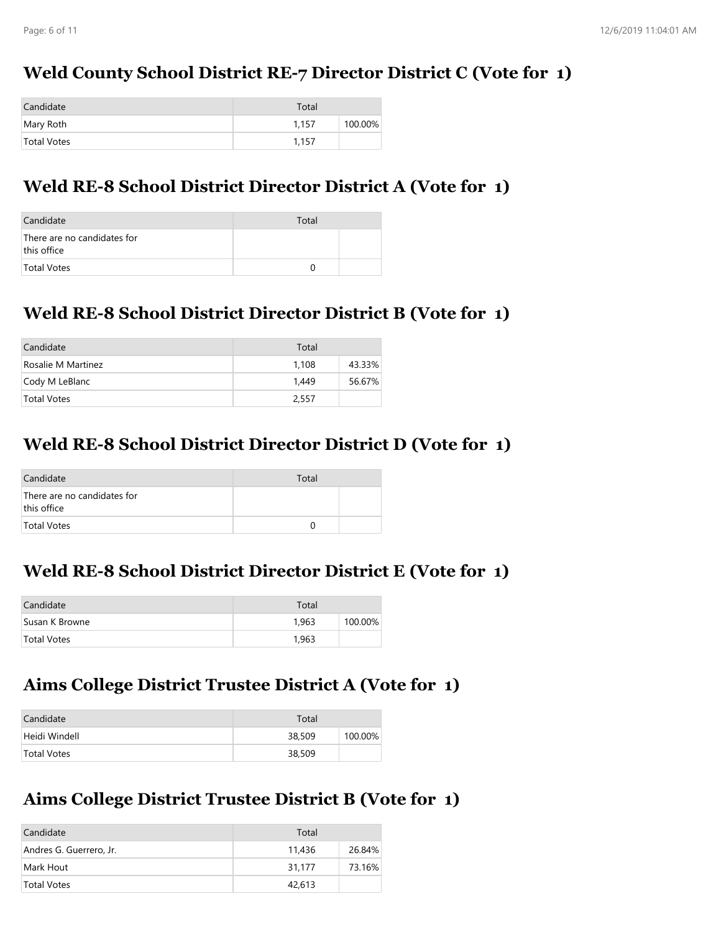## **Weld County School District RE-7 Director District C (Vote for 1)**

| Candidate   | Total |         |
|-------------|-------|---------|
| Mary Roth   | 1.157 | 100.00% |
| Total Votes | 1.157 |         |

### **Weld RE-8 School District Director District A (Vote for 1)**

| Candidate                                  | Total |  |
|--------------------------------------------|-------|--|
| There are no candidates for<br>this office |       |  |
| Total Votes                                |       |  |

# **Weld RE-8 School District Director District B (Vote for 1)**

| Candidate          | Total |        |
|--------------------|-------|--------|
| Rosalie M Martinez | 1.108 | 43.33% |
| Cody M LeBlanc     | 1.449 | 56.67% |
| Total Votes        | 2.557 |        |

### **Weld RE-8 School District Director District D (Vote for 1)**

| Candidate                                  | Total |  |
|--------------------------------------------|-------|--|
| There are no candidates for<br>this office |       |  |
| <b>Total Votes</b>                         |       |  |

#### **Weld RE-8 School District Director District E (Vote for 1)**

| Candidate          | Total |         |
|--------------------|-------|---------|
| Susan K Browne     | 1.963 | 100.00% |
| <b>Total Votes</b> | 1.963 |         |

# **Aims College District Trustee District A (Vote for 1)**

| Candidate          | Total  |         |
|--------------------|--------|---------|
| Heidi Windell      | 38,509 | 100.00% |
| <b>Total Votes</b> | 38,509 |         |

### **Aims College District Trustee District B (Vote for 1)**

| Candidate               | Total  |        |
|-------------------------|--------|--------|
| Andres G. Guerrero, Jr. | 11,436 | 26.84% |
| Mark Hout               | 31.177 | 73.16% |
| <b>Total Votes</b>      | 42,613 |        |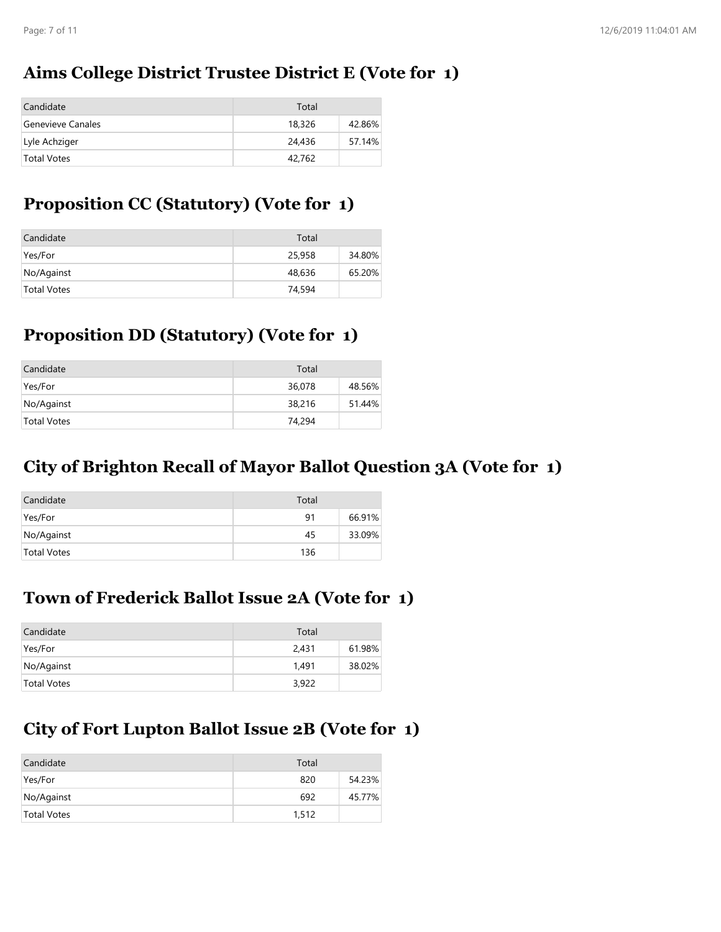## **Aims College District Trustee District E (Vote for 1)**

| Candidate         | Total  |        |
|-------------------|--------|--------|
| Genevieve Canales | 18,326 | 42.86% |
| Lyle Achziger     | 24,436 | 57.14% |
| Total Votes       | 42.762 |        |

# **Proposition CC (Statutory) (Vote for 1)**

| Candidate          | Total  |        |
|--------------------|--------|--------|
| Yes/For            | 25,958 | 34.80% |
| No/Against         | 48,636 | 65.20% |
| <b>Total Votes</b> | 74,594 |        |

## **Proposition DD (Statutory) (Vote for 1)**

| Candidate          | Total  |        |
|--------------------|--------|--------|
| Yes/For            | 36,078 | 48.56% |
| No/Against         | 38,216 | 51.44% |
| <b>Total Votes</b> | 74,294 |        |

### **City of Brighton Recall of Mayor Ballot Question 3A (Vote for 1)**

| Candidate   | Total |        |
|-------------|-------|--------|
| Yes/For     | 91    | 66.91% |
| No/Against  | 45    | 33.09% |
| Total Votes | 136   |        |

# **Town of Frederick Ballot Issue 2A (Vote for 1)**

| Candidate          | Total |        |
|--------------------|-------|--------|
| Yes/For            | 2.431 | 61.98% |
| No/Against         | 1.491 | 38.02% |
| <b>Total Votes</b> | 3,922 |        |

# **City of Fort Lupton Ballot Issue 2B (Vote for 1)**

| Candidate   | Total |        |
|-------------|-------|--------|
| Yes/For     | 820   | 54.23% |
| No/Against  | 692   | 45.77% |
| Total Votes | 1,512 |        |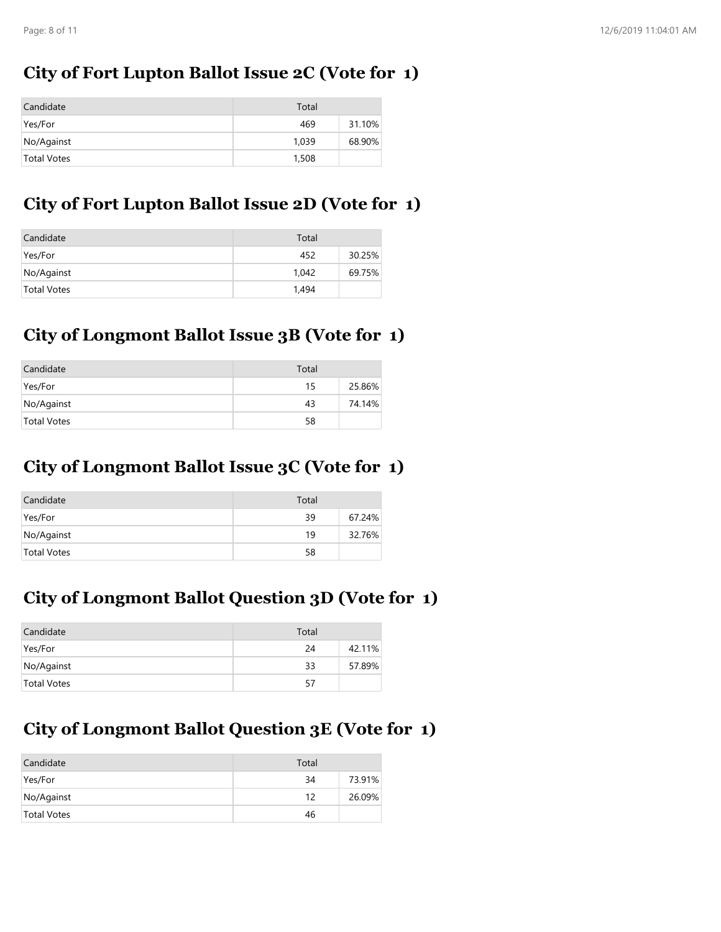# **City of Fort Lupton Ballot Issue 2C (Vote for 1)**

| Candidate          | Total |        |
|--------------------|-------|--------|
| Yes/For            | 469   | 31.10% |
| No/Against         | 1.039 | 68.90% |
| <b>Total Votes</b> | 1,508 |        |

# **City of Fort Lupton Ballot Issue 2D (Vote for 1)**

| Candidate          | Total |        |
|--------------------|-------|--------|
| Yes/For            | 452   | 30.25% |
| No/Against         | 1.042 | 69.75% |
| <b>Total Votes</b> | 1.494 |        |

## **City of Longmont Ballot Issue 3B (Vote for 1)**

| Candidate          | Total |        |
|--------------------|-------|--------|
| Yes/For            | 15    | 25.86% |
| No/Against         | 43    | 74.14% |
| <b>Total Votes</b> | 58    |        |

## **City of Longmont Ballot Issue 3C (Vote for 1)**

| Candidate   | Total |        |
|-------------|-------|--------|
| Yes/For     | 39    | 67.24% |
| No/Against  | 19    | 32.76% |
| Total Votes | 58    |        |

# **City of Longmont Ballot Question 3D (Vote for 1)**

| Candidate   | Total |        |
|-------------|-------|--------|
| Yes/For     | 24    | 42.11% |
| No/Against  | 33    | 57.89% |
| Total Votes | 57    |        |

# **City of Longmont Ballot Question 3E (Vote for 1)**

| Candidate   | Total |        |
|-------------|-------|--------|
| Yes/For     | 34    | 73.91% |
| No/Against  | 12    | 26.09% |
| Total Votes | 46    |        |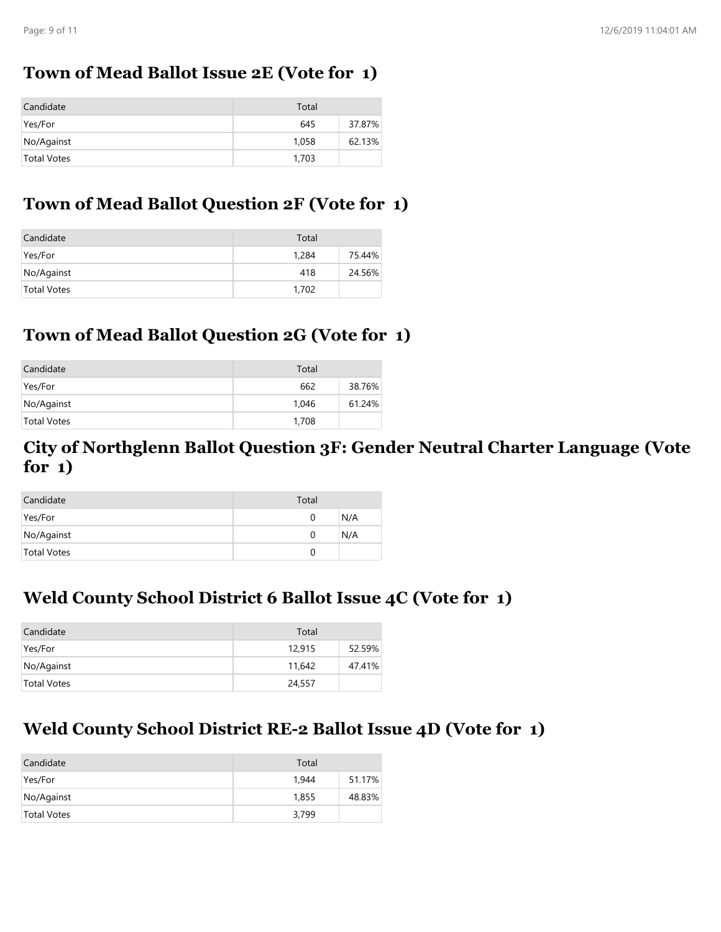### **Town of Mead Ballot Issue 2E (Vote for 1)**

| Candidate          | Total |        |
|--------------------|-------|--------|
| Yes/For            | 645   | 37.87% |
| No/Against         | 1.058 | 62.13% |
| <b>Total Votes</b> | 1,703 |        |

## **Town of Mead Ballot Question 2F (Vote for 1)**

| Candidate          | Total |        |
|--------------------|-------|--------|
| Yes/For            | 1,284 | 75.44% |
| No/Against         | 418   | 24.56% |
| <b>Total Votes</b> | 1,702 |        |

## **Town of Mead Ballot Question 2G (Vote for 1)**

| Candidate          | Total |        |
|--------------------|-------|--------|
| Yes/For            | 662   | 38.76% |
| No/Against         | 1.046 | 61.24% |
| <b>Total Votes</b> | 1,708 |        |

#### **City of Northglenn Ballot Question 3F: Gender Neutral Charter Language (Vote for 1)**

| Candidate   | Total |     |
|-------------|-------|-----|
| Yes/For     |       | N/A |
| No/Against  |       | N/A |
| Total Votes |       |     |

# **Weld County School District 6 Ballot Issue 4C (Vote for 1)**

| Candidate   | Total  |        |
|-------------|--------|--------|
| Yes/For     | 12,915 | 52.59% |
| No/Against  | 11,642 | 47.41% |
| Total Votes | 24,557 |        |

# **Weld County School District RE-2 Ballot Issue 4D (Vote for 1)**

| Candidate   | Total |        |
|-------------|-------|--------|
| Yes/For     | 1.944 | 51.17% |
| No/Against  | 1,855 | 48.83% |
| Total Votes | 3,799 |        |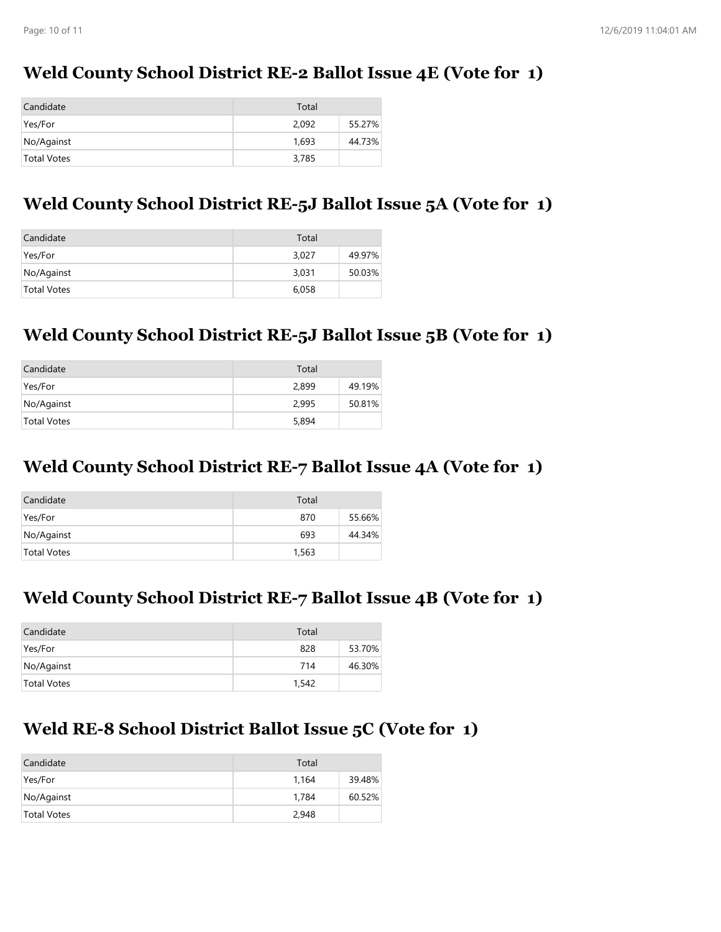## **Weld County School District RE-2 Ballot Issue 4E (Vote for 1)**

| Candidate   | Total |        |
|-------------|-------|--------|
| Yes/For     | 2.092 | 55.27% |
| No/Against  | 1.693 | 44.73% |
| Total Votes | 3,785 |        |

### **Weld County School District RE-5J Ballot Issue 5A (Vote for 1)**

| Candidate          | Total |        |
|--------------------|-------|--------|
| Yes/For            | 3,027 | 49.97% |
| No/Against         | 3,031 | 50.03% |
| <b>Total Votes</b> | 6,058 |        |

## **Weld County School District RE-5J Ballot Issue 5B (Vote for 1)**

| Candidate          | Total |        |
|--------------------|-------|--------|
| Yes/For            | 2.899 | 49.19% |
| No/Against         | 2.995 | 50.81% |
| <b>Total Votes</b> | 5,894 |        |

### **Weld County School District RE-7 Ballot Issue 4A (Vote for 1)**

| Candidate   | Total |        |
|-------------|-------|--------|
| Yes/For     | 870   | 55.66% |
| No/Against  | 693   | 44.34% |
| Total Votes | 1,563 |        |

### **Weld County School District RE-7 Ballot Issue 4B (Vote for 1)**

| Candidate          | Total |        |
|--------------------|-------|--------|
| Yes/For            | 828   | 53.70% |
| No/Against         | 714   | 46.30% |
| <b>Total Votes</b> | 1,542 |        |

### **Weld RE-8 School District Ballot Issue 5C (Vote for 1)**

| Candidate   | Total |        |
|-------------|-------|--------|
| Yes/For     | 1.164 | 39.48% |
| No/Against  | 1,784 | 60.52% |
| Total Votes | 2,948 |        |